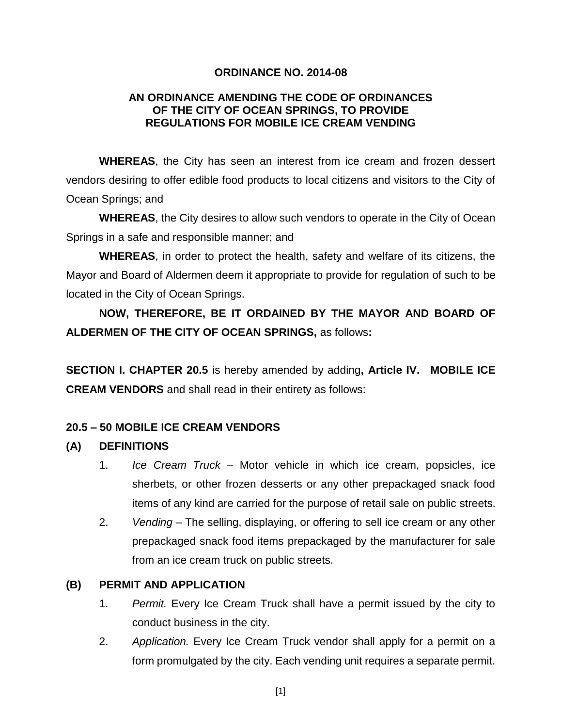#### **ORDINANCE NO. 2014-08**

#### **AN ORDINANCE AMENDING THE CODE OF ORDINANCES OF THE CITY OF OCEAN SPRINGS, TO PROVIDE REGULATIONS FOR MOBILE ICE CREAM VENDING**

**WHEREAS**, the City has seen an interest from ice cream and frozen dessert vendors desiring to offer edible food products to local citizens and visitors to the City of Ocean Springs; and

**WHEREAS**, the City desires to allow such vendors to operate in the City of Ocean Springs in a safe and responsible manner; and

**WHEREAS**, in order to protect the health, safety and welfare of its citizens, the Mayor and Board of Aldermen deem it appropriate to provide for regulation of such to be located in the City of Ocean Springs.

**NOW, THEREFORE, BE IT ORDAINED BY THE MAYOR AND BOARD OF ALDERMEN OF THE CITY OF OCEAN SPRINGS,** as follows**:**

**SECTION I. CHAPTER 20.5** is hereby amended by adding**, Article IV. MOBILE ICE CREAM VENDORS** and shall read in their entirety as follows:

#### **20.5 – 50 MOBILE ICE CREAM VENDORS**

#### **(A) DEFINITIONS**

- 1. *Ice Cream Truck*  Motor vehicle in which ice cream, popsicles, ice sherbets, or other frozen desserts or any other prepackaged snack food items of any kind are carried for the purpose of retail sale on public streets.
- 2. *Vending* The selling, displaying, or offering to sell ice cream or any other prepackaged snack food items prepackaged by the manufacturer for sale from an ice cream truck on public streets.

#### **(B) PERMIT AND APPLICATION**

- 1. *Permit.* Every Ice Cream Truck shall have a permit issued by the city to conduct business in the city.
- 2. *Application.* Every Ice Cream Truck vendor shall apply for a permit on a form promulgated by the city. Each vending unit requires a separate permit.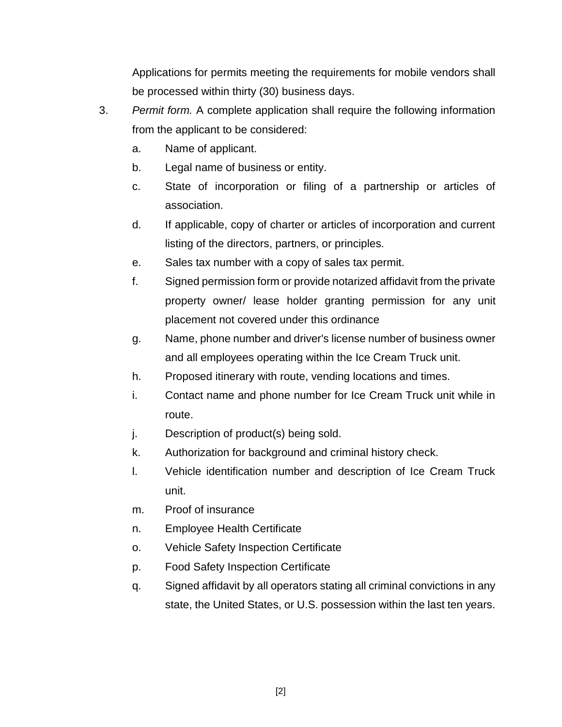Applications for permits meeting the requirements for mobile vendors shall be processed within thirty (30) business days.

- 3. *Permit form.* A complete application shall require the following information from the applicant to be considered:
	- a. Name of applicant.
	- b. Legal name of business or entity.
	- c. State of incorporation or filing of a partnership or articles of association.
	- d. If applicable, copy of charter or articles of incorporation and current listing of the directors, partners, or principles.
	- e. Sales tax number with a copy of sales tax permit.
	- f. Signed permission form or provide notarized affidavit from the private property owner/ lease holder granting permission for any unit placement not covered under this ordinance
	- g. Name, phone number and driver's license number of business owner and all employees operating within the Ice Cream Truck unit.
	- h. Proposed itinerary with route, vending locations and times.
	- i. Contact name and phone number for Ice Cream Truck unit while in route.
	- j. Description of product(s) being sold.
	- k. Authorization for background and criminal history check.
	- l. Vehicle identification number and description of Ice Cream Truck unit.
	- m. Proof of insurance
	- n. Employee Health Certificate
	- o. Vehicle Safety Inspection Certificate
	- p. Food Safety Inspection Certificate
	- q. Signed affidavit by all operators stating all criminal convictions in any state, the United States, or U.S. possession within the last ten years.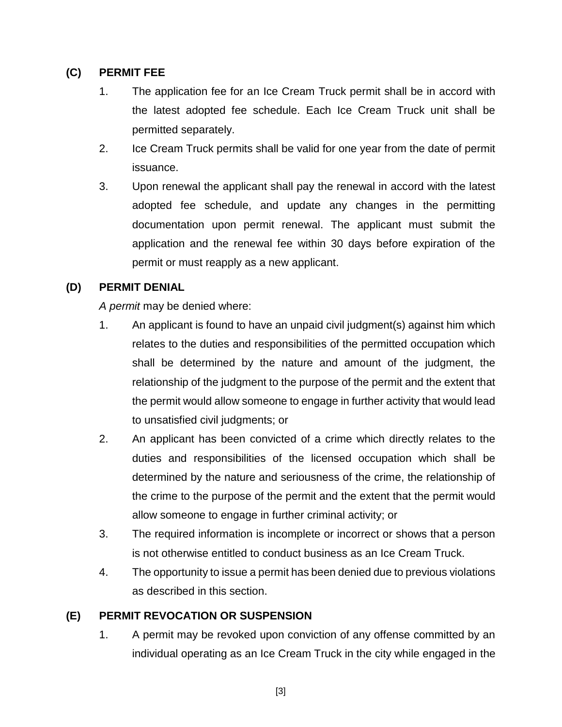#### **(C) PERMIT FEE**

- 1. The application fee for an Ice Cream Truck permit shall be in accord with the latest adopted fee schedule. Each Ice Cream Truck unit shall be permitted separately.
- 2. Ice Cream Truck permits shall be valid for one year from the date of permit issuance.
- 3. Upon renewal the applicant shall pay the renewal in accord with the latest adopted fee schedule, and update any changes in the permitting documentation upon permit renewal. The applicant must submit the application and the renewal fee within 30 days before expiration of the permit or must reapply as a new applicant.

## **(D) PERMIT DENIAL**

*A permit* may be denied where:

- 1. An applicant is found to have an unpaid civil judgment(s) against him which relates to the duties and responsibilities of the permitted occupation which shall be determined by the nature and amount of the judgment, the relationship of the judgment to the purpose of the permit and the extent that the permit would allow someone to engage in further activity that would lead to unsatisfied civil judgments; or
- 2. An applicant has been convicted of a crime which directly relates to the duties and responsibilities of the licensed occupation which shall be determined by the nature and seriousness of the crime, the relationship of the crime to the purpose of the permit and the extent that the permit would allow someone to engage in further criminal activity; or
- 3. The required information is incomplete or incorrect or shows that a person is not otherwise entitled to conduct business as an Ice Cream Truck.
- 4. The opportunity to issue a permit has been denied due to previous violations as described in this section.

# **(E) PERMIT REVOCATION OR SUSPENSION**

1. A permit may be revoked upon conviction of any offense committed by an individual operating as an Ice Cream Truck in the city while engaged in the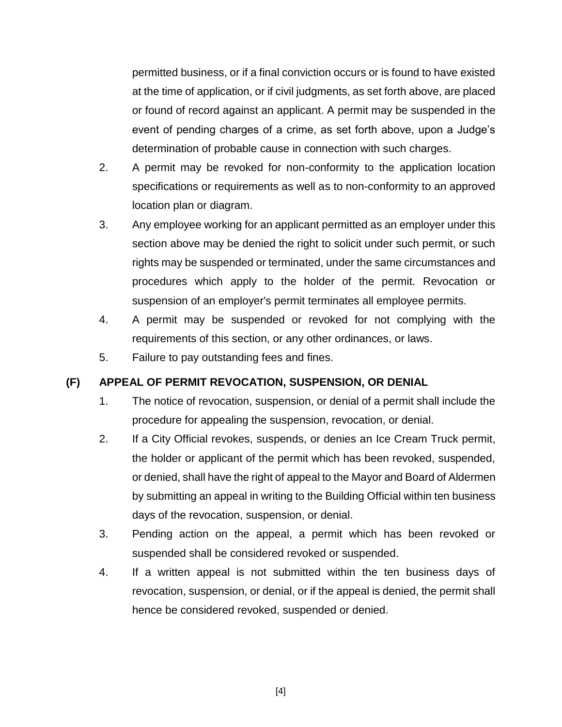permitted business, or if a final conviction occurs or is found to have existed at the time of application, or if civil judgments, as set forth above, are placed or found of record against an applicant. A permit may be suspended in the event of pending charges of a crime, as set forth above, upon a Judge's determination of probable cause in connection with such charges.

- 2. A permit may be revoked for non-conformity to the application location specifications or requirements as well as to non-conformity to an approved location plan or diagram.
- 3. Any employee working for an applicant permitted as an employer under this section above may be denied the right to solicit under such permit, or such rights may be suspended or terminated, under the same circumstances and procedures which apply to the holder of the permit. Revocation or suspension of an employer's permit terminates all employee permits.
- 4. A permit may be suspended or revoked for not complying with the requirements of this section, or any other ordinances, or laws.
- 5. Failure to pay outstanding fees and fines.

# **(F) APPEAL OF PERMIT REVOCATION, SUSPENSION, OR DENIAL**

- 1. The notice of revocation, suspension, or denial of a permit shall include the procedure for appealing the suspension, revocation, or denial.
- 2. If a City Official revokes, suspends, or denies an Ice Cream Truck permit, the holder or applicant of the permit which has been revoked, suspended, or denied, shall have the right of appeal to the Mayor and Board of Aldermen by submitting an appeal in writing to the Building Official within ten business days of the revocation, suspension, or denial.
- 3. Pending action on the appeal, a permit which has been revoked or suspended shall be considered revoked or suspended.
- 4. If a written appeal is not submitted within the ten business days of revocation, suspension, or denial, or if the appeal is denied, the permit shall hence be considered revoked, suspended or denied.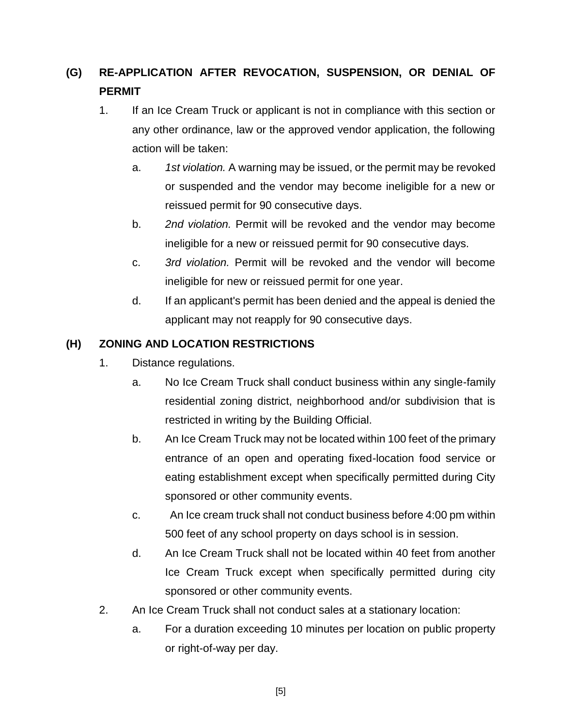# **(G) RE-APPLICATION AFTER REVOCATION, SUSPENSION, OR DENIAL OF PERMIT**

- 1. If an Ice Cream Truck or applicant is not in compliance with this section or any other ordinance, law or the approved vendor application, the following action will be taken:
	- a. *1st violation.* A warning may be issued, or the permit may be revoked or suspended and the vendor may become ineligible for a new or reissued permit for 90 consecutive days.
	- b. *2nd violation.* Permit will be revoked and the vendor may become ineligible for a new or reissued permit for 90 consecutive days.
	- c. *3rd violation.* Permit will be revoked and the vendor will become ineligible for new or reissued permit for one year.
	- d. If an applicant's permit has been denied and the appeal is denied the applicant may not reapply for 90 consecutive days.

## **(H) ZONING AND LOCATION RESTRICTIONS**

- 1. Distance regulations.
	- a. No Ice Cream Truck shall conduct business within any single-family residential zoning district, neighborhood and/or subdivision that is restricted in writing by the Building Official.
	- b. An Ice Cream Truck may not be located within 100 feet of the primary entrance of an open and operating fixed-location food service or eating establishment except when specifically permitted during City sponsored or other community events.
	- c. An Ice cream truck shall not conduct business before 4:00 pm within 500 feet of any school property on days school is in session.
	- d. An Ice Cream Truck shall not be located within 40 feet from another Ice Cream Truck except when specifically permitted during city sponsored or other community events.
- 2. An Ice Cream Truck shall not conduct sales at a stationary location:
	- a. For a duration exceeding 10 minutes per location on public property or right-of-way per day.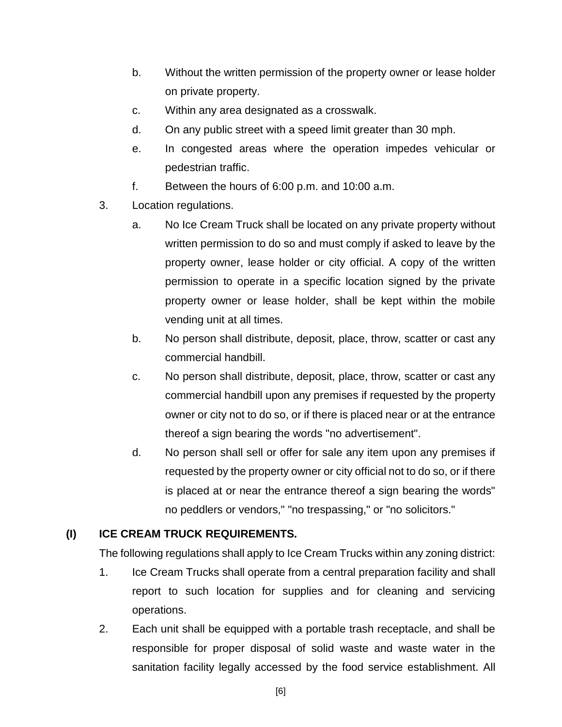- b. Without the written permission of the property owner or lease holder on private property.
- c. Within any area designated as a crosswalk.
- d. On any public street with a speed limit greater than 30 mph.
- e. In congested areas where the operation impedes vehicular or pedestrian traffic.
- f. Between the hours of 6:00 p.m. and 10:00 a.m.
- 3. Location regulations.
	- a. No Ice Cream Truck shall be located on any private property without written permission to do so and must comply if asked to leave by the property owner, lease holder or city official. A copy of the written permission to operate in a specific location signed by the private property owner or lease holder, shall be kept within the mobile vending unit at all times.
	- b. No person shall distribute, deposit, place, throw, scatter or cast any commercial handbill.
	- c. No person shall distribute, deposit, place, throw, scatter or cast any commercial handbill upon any premises if requested by the property owner or city not to do so, or if there is placed near or at the entrance thereof a sign bearing the words "no advertisement".
	- d. No person shall sell or offer for sale any item upon any premises if requested by the property owner or city official not to do so, or if there is placed at or near the entrance thereof a sign bearing the words" no peddlers or vendors," "no trespassing," or "no solicitors."

# **(I) ICE CREAM TRUCK REQUIREMENTS***.*

The following regulations shall apply to Ice Cream Trucks within any zoning district:

- 1. Ice Cream Trucks shall operate from a central preparation facility and shall report to such location for supplies and for cleaning and servicing operations.
- 2. Each unit shall be equipped with a portable trash receptacle, and shall be responsible for proper disposal of solid waste and waste water in the sanitation facility legally accessed by the food service establishment. All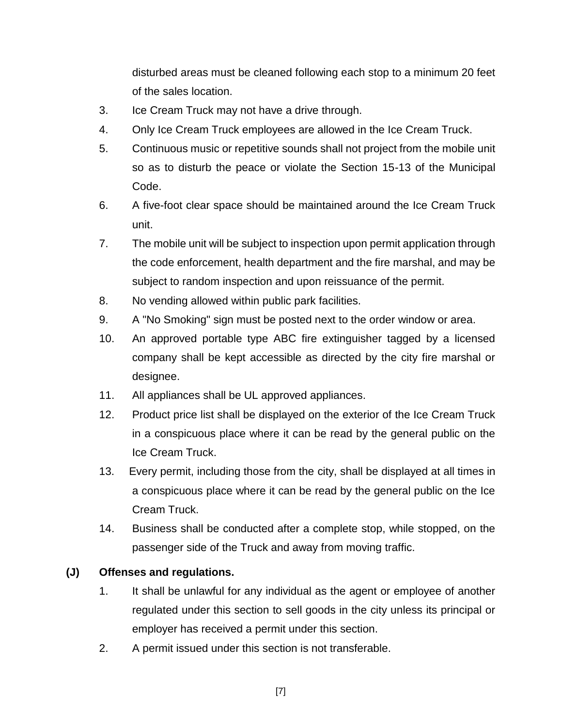disturbed areas must be cleaned following each stop to a minimum 20 feet of the sales location.

- 3. Ice Cream Truck may not have a drive through.
- 4. Only Ice Cream Truck employees are allowed in the Ice Cream Truck.
- 5. Continuous music or repetitive sounds shall not project from the mobile unit so as to disturb the peace or violate the Section 15-13 of the Municipal Code.
- 6. A five-foot clear space should be maintained around the Ice Cream Truck unit.
- 7. The mobile unit will be subject to inspection upon permit application through the code enforcement, health department and the fire marshal, and may be subject to random inspection and upon reissuance of the permit.
- 8. No vending allowed within public park facilities.
- 9. A "No Smoking" sign must be posted next to the order window or area.
- 10. An approved portable type ABC fire extinguisher tagged by a licensed company shall be kept accessible as directed by the city fire marshal or designee.
- 11. All appliances shall be UL approved appliances.
- 12. Product price list shall be displayed on the exterior of the Ice Cream Truck in a conspicuous place where it can be read by the general public on the Ice Cream Truck.
- 13. Every permit, including those from the city, shall be displayed at all times in a conspicuous place where it can be read by the general public on the Ice Cream Truck.
- 14. Business shall be conducted after a complete stop, while stopped, on the passenger side of the Truck and away from moving traffic.

#### **(J) Offenses and regulations.**

- 1. It shall be unlawful for any individual as the agent or employee of another regulated under this section to sell goods in the city unless its principal or employer has received a permit under this section.
- 2. A permit issued under this section is not transferable.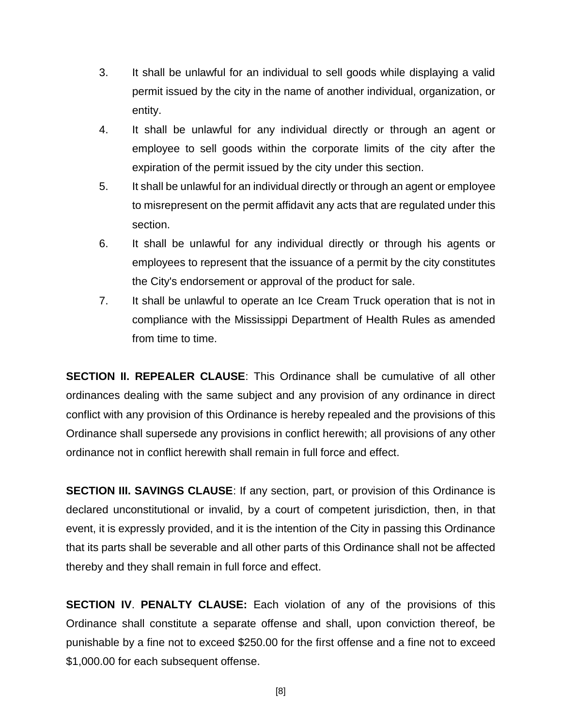- 3. It shall be unlawful for an individual to sell goods while displaying a valid permit issued by the city in the name of another individual, organization, or entity.
- 4. It shall be unlawful for any individual directly or through an agent or employee to sell goods within the corporate limits of the city after the expiration of the permit issued by the city under this section.
- 5. It shall be unlawful for an individual directly or through an agent or employee to misrepresent on the permit affidavit any acts that are regulated under this section.
- 6. It shall be unlawful for any individual directly or through his agents or employees to represent that the issuance of a permit by the city constitutes the City's endorsement or approval of the product for sale.
- 7. It shall be unlawful to operate an Ice Cream Truck operation that is not in compliance with the Mississippi Department of Health Rules as amended from time to time.

**SECTION II. REPEALER CLAUSE**: This Ordinance shall be cumulative of all other ordinances dealing with the same subject and any provision of any ordinance in direct conflict with any provision of this Ordinance is hereby repealed and the provisions of this Ordinance shall supersede any provisions in conflict herewith; all provisions of any other ordinance not in conflict herewith shall remain in full force and effect.

**SECTION III. SAVINGS CLAUSE**: If any section, part, or provision of this Ordinance is declared unconstitutional or invalid, by a court of competent jurisdiction, then, in that event, it is expressly provided, and it is the intention of the City in passing this Ordinance that its parts shall be severable and all other parts of this Ordinance shall not be affected thereby and they shall remain in full force and effect.

**SECTION IV**. **PENALTY CLAUSE:** Each violation of any of the provisions of this Ordinance shall constitute a separate offense and shall, upon conviction thereof, be punishable by a fine not to exceed \$250.00 for the first offense and a fine not to exceed \$1,000.00 for each subsequent offense.